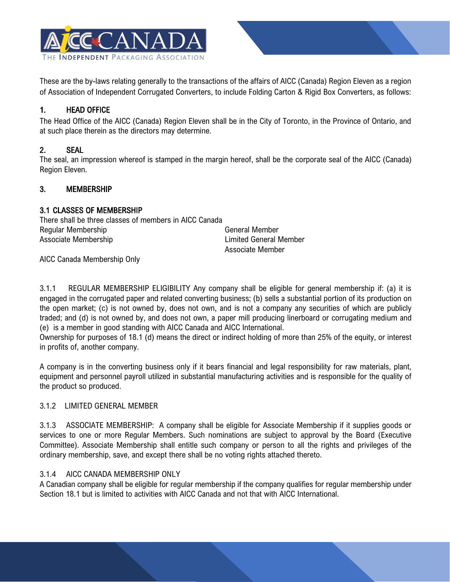

These are the by-laws relating generally to the transactions of the affairs of AICC (Canada) Region Eleven as a region of Association of Independent Corrugated Converters, to include Folding Carton & Rigid Box Converters, as follows:

# 1. HEAD OFFICE

The Head Office of the AICC (Canada) Region Eleven shall be in the City of Toronto, in the Province of Ontario, and at such place therein as the directors may determine.

## 2. SEAL

The seal, an impression whereof is stamped in the margin hereof, shall be the corporate seal of the AICC (Canada) Region Eleven.

## 3. MEMBERSHIP

### 3.1 CLASSES OF MEMBERSHIP

| There shall be three classes of members in AICC Canada |                               |
|--------------------------------------------------------|-------------------------------|
| Regular Membership                                     | General Member                |
| Associate Membership                                   | <b>Limited General Member</b> |
|                                                        | Associate Member              |

AICC Canada Membership Only

3.1.1 REGULAR MEMBERSHIP ELIGIBILITY Any company shall be eligible for general membership if: (a) it is engaged in the corrugated paper and related converting business; (b) sells a substantial portion of its production on the open market; (c) is not owned by, does not own, and is not a company any securities of which are publicly traded; and (d) is not owned by, and does not own, a paper mill producing linerboard or corrugating medium and (e) is a member in good standing with AICC Canada and AICC International.

Ownership for purposes of 18.1 (d) means the direct or indirect holding of more than 25% of the equity, or interest in profits of, another company.

A company is in the converting business only if it bears financial and legal responsibility for raw materials, plant, equipment and personnel payroll utilized in substantial manufacturing activities and is responsible for the quality of the product so produced.

## 3.1.2 LIMITED GENERAL MEMBER

3.1.3 ASSOCIATE MEMBERSHIP: A company shall be eligible for Associate Membership if it supplies goods or services to one or more Regular Members. Such nominations are subject to approval by the Board (Executive Committee). Associate Membership shall entitle such company or person to all the rights and privileges of the ordinary membership, save, and except there shall be no voting rights attached thereto.

#### 3.1.4 AICC CANADA MEMBERSHIP ONLY

A Canadian company shall be eligible for regular membership if the company qualifies for regular membership under Section 18.1 but is limited to activities with AICC Canada and not that with AICC International.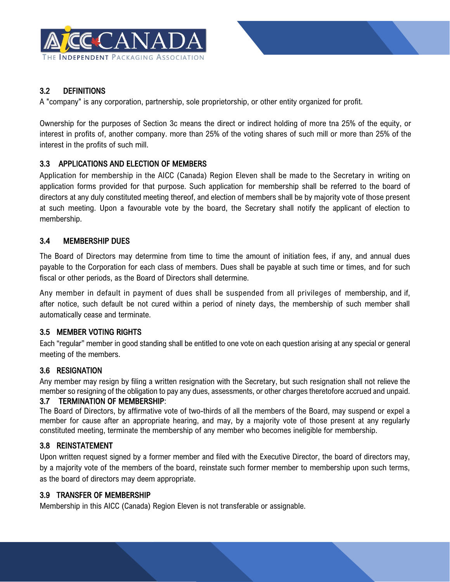

# 3.2 DEFINITIONS

A "company" is any corporation, partnership, sole proprietorship, or other entity organized for profit.

Ownership for the purposes of Section 3c means the direct or indirect holding of more tna 25% of the equity, or interest in profits of, another company. more than 25% of the voting shares of such mill or more than 25% of the interest in the profits of such mill.

## 3.3 APPLICATIONS AND ELECTION OF MEMBERS

Application for membership in the AICC (Canada) Region Eleven shall be made to the Secretary in writing on application forms provided for that purpose. Such application for membership shall be referred to the board of directors at any duly constituted meeting thereof, and election of members shall be by majority vote of those present at such meeting. Upon a favourable vote by the board, the Secretary shall notify the applicant of election to membership.

## 3.4 MEMBERSHIP DUES

The Board of Directors may determine from time to time the amount of initiation fees, if any, and annual dues payable to the Corporation for each class of members. Dues shall be payable at such time or times, and for such fiscal or other periods, as the Board of Directors shall determine.

Any member in default in payment of dues shall be suspended from all privileges of membership, and if, after notice, such default be not cured within a period of ninety days, the membership of such member shall automatically cease and terminate.

## 3.5 MEMBER VOTING RIGHTS

Each "regular" member in good standing shall be entitled to one vote on each question arising at any special or general meeting of the members.

#### 3.6 RESIGNATION

Any member may resign by filing a written resignation with the Secretary, but such resignation shall not relieve the member so resigning of the obligation to pay any dues, assessments, or other charges theretofore accrued and unpaid.

#### 3.7 TERMINATION OF MEMBERSHIP:

The Board of Directors, by affirmative vote of two-thirds of all the members of the Board, may suspend or expel a member for cause after an appropriate hearing, and may, by a majority vote of those present at any regularly constituted meeting, terminate the membership of any member who becomes ineligible for membership.

#### 3.8 REINSTATEMENT

Upon written request signed by a former member and filed with the Executive Director, the board of directors may, by a majority vote of the members of the board, reinstate such former member to membership upon such terms, as the board of directors may deem appropriate.

#### 3.9 TRANSFER OF MEMBERSHIP

Membership in this AICC (Canada) Region Eleven is not transferable or assignable.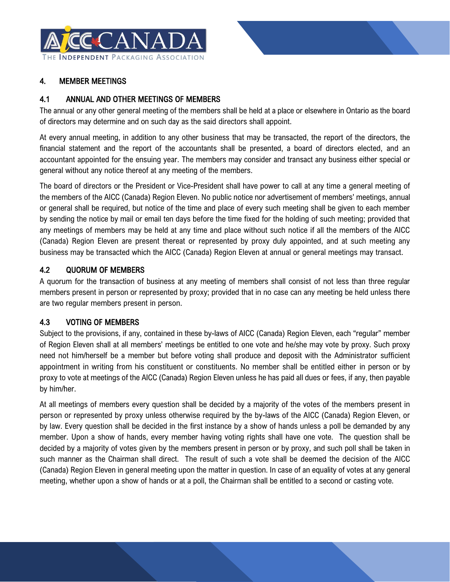

### 4. MEMBER MEETINGS

### 4.1 ANNUAL AND OTHER MEETINGS OF MEMBERS

The annual or any other general meeting of the members shall be held at a place or elsewhere in Ontario as the board of directors may determine and on such day as the said directors shall appoint.

At every annual meeting, in addition to any other business that may be transacted, the report of the directors, the financial statement and the report of the accountants shall be presented, a board of directors elected, and an accountant appointed for the ensuing year. The members may consider and transact any business either special or general without any notice thereof at any meeting of the members.

The board of directors or the President or Vice-President shall have power to call at any time a general meeting of the members of the AICC (Canada) Region Eleven. No public notice nor advertisement of members' meetings, annual or general shall be required, but notice of the time and place of every such meeting shall be given to each member by sending the notice by mail or email ten days before the time fixed for the holding of such meeting; provided that any meetings of members may be held at any time and place without such notice if all the members of the AICC (Canada) Region Eleven are present thereat or represented by proxy duly appointed, and at such meeting any business may be transacted which the AICC (Canada) Region Eleven at annual or general meetings may transact.

#### 4.2 QUORUM OF MEMBERS

A quorum for the transaction of business at any meeting of members shall consist of not less than three regular members present in person or represented by proxy; provided that in no case can any meeting be held unless there are two regular members present in person.

## 4.3 VOTING OF MEMBERS

Subject to the provisions, if any, contained in these by-laws of AICC (Canada) Region Eleven, each "regular" member of Region Eleven shall at all members' meetings be entitled to one vote and he/she may vote by proxy. Such proxy need not him/herself be a member but before voting shall produce and deposit with the Administrator sufficient appointment in writing from his constituent or constituents. No member shall be entitled either in person or by proxy to vote at meetings of the AICC (Canada) Region Eleven unless he has paid all dues or fees, if any, then payable by him/her.

At all meetings of members every question shall be decided by a majority of the votes of the members present in person or represented by proxy unless otherwise required by the by-laws of the AICC (Canada) Region Eleven, or by law. Every question shall be decided in the first instance by a show of hands unless a poll be demanded by any member. Upon a show of hands, every member having voting rights shall have one vote. The question shall be decided by a majority of votes given by the members present in person or by proxy, and such poll shall be taken in such manner as the Chairman shall direct. The result of such a vote shall be deemed the decision of the AICC (Canada) Region Eleven in general meeting upon the matter in question. In case of an equality of votes at any general meeting, whether upon a show of hands or at a poll, the Chairman shall be entitled to a second or casting vote.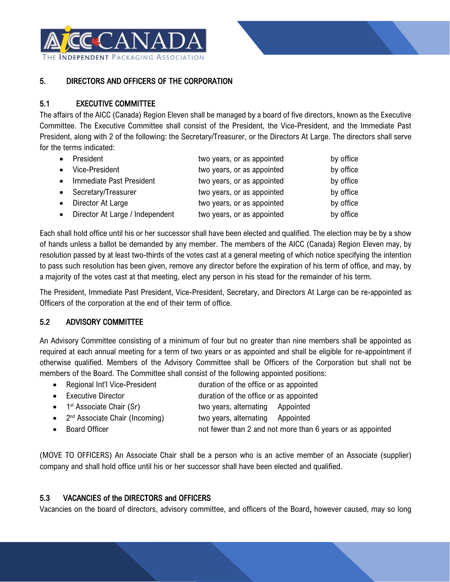

### 5. DIRECTORS AND OFFICERS OF THE CORPORATION

### 5.1 EXECUTIVE COMMITTEE

The affairs of the AICC (Canada) Region Eleven shall be managed by a board of five directors, known as the Executive Committee. The Executive Committee shall consist of the President, the Vice-President, and the Immediate Past President, along with 2 of the following: the Secretary/Treasurer, or the Directors At Large. The directors shall serve for the terms indicated:

| $\bullet$ | President                         | two years, or as appointed | by office |
|-----------|-----------------------------------|----------------------------|-----------|
| $\bullet$ | Vice-President                    | two years, or as appointed | by office |
| $\bullet$ | Immediate Past President          | two years, or as appointed | by office |
|           | • Secretary/Treasurer             | two years, or as appointed | by office |
|           | • Director At Large               | two years, or as appointed | by office |
|           | • Director At Large / Independent | two years, or as appointed | by office |

Each shall hold office until his or her successor shall have been elected and qualified. The election may be by a show of hands unless a ballot be demanded by any member. The members of the AICC (Canada) Region Eleven may, by resolution passed by at least two-thirds of the votes cast at a general meeting of which notice specifying the intention to pass such resolution has been given, remove any director before the expiration of his term of office, and may, by a majority of the votes cast at that meeting, elect any person in his stead for the remainder of his term.

The President, Immediate Past President, Vice-President, Secretary, and Directors At Large can be re-appointed as Officers of the corporation at the end of their term of office.

#### 5.2 ADVISORY COMMITTEE

An Advisory Committee consisting of a minimum of four but no greater than nine members shall be appointed as required at each annual meeting for a term of two years or as appointed and shall be eligible for re-appointment if otherwise qualified. Members of the Advisory Committee shall be Officers of the Corporation but shall not be members of the Board. The Committee shall consist of the following appointed positions:

- Regional Int'l Vice-President duration of the office or as appointed • Executive Director **Executive Director duration of the office or as appointed**
- 
- $\bullet$  1<sup>st</sup> Associate Chair (Sr) two years, alternating Appointed
- 2<sup>nd</sup> Associate Chair (Incoming) by two years, alternating Appointed
- 
- 
- Board Officer **not fewer than 2 and not more than 6 years or as appointed**

(MOVE TO OFFICERS) An Associate Chair shall be a person who is an active member of an Associate (supplier) company and shall hold office until his or her successor shall have been elected and qualified.

## 5.3 VACANCIES of the DIRECTORS and OFFICERS

Vacancies on the board of directors, advisory committee, and officers of the Board, however caused, may so long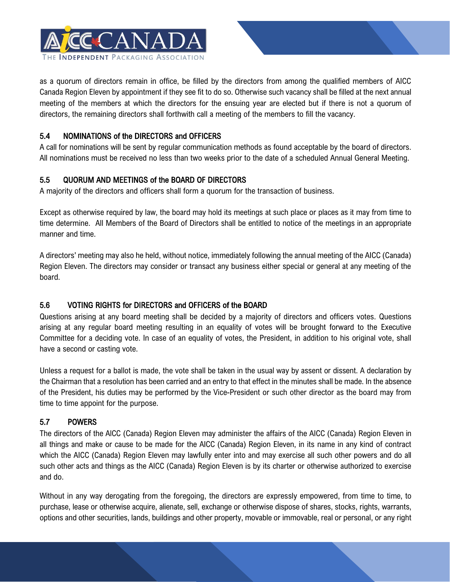

as a quorum of directors remain in office, be filled by the directors from among the qualified members of AICC Canada Region Eleven by appointment if they see fit to do so. Otherwise such vacancy shall be filled at the next annual meeting of the members at which the directors for the ensuing year are elected but if there is not a quorum of directors, the remaining directors shall forthwith call a meeting of the members to fill the vacancy.

### 5.4 NOMINATIONS of the DIRECTORS and OFFICERS

A call for nominations will be sent by regular communication methods as found acceptable by the board of directors. All nominations must be received no less than two weeks prior to the date of a scheduled Annual General Meeting.

## 5.5 QUORUM AND MEETINGS of the BOARD OF DIRECTORS

A majority of the directors and officers shall form a quorum for the transaction of business.

Except as otherwise required by law, the board may hold its meetings at such place or places as it may from time to time determine. All Members of the Board of Directors shall be entitled to notice of the meetings in an appropriate manner and time.

A directors' meeting may also he held, without notice, immediately following the annual meeting of the AICC (Canada) Region Eleven. The directors may consider or transact any business either special or general at any meeting of the board.

## 5.6 VOTING RIGHTS for DIRECTORS and OFFICERS of the BOARD

Questions arising at any board meeting shall be decided by a majority of directors and officers votes. Questions arising at any regular board meeting resulting in an equality of votes will be brought forward to the Executive Committee for a deciding vote. In case of an equality of votes, the President, in addition to his original vote, shall have a second or casting vote.

Unless a request for a ballot is made, the vote shall be taken in the usual way by assent or dissent. A declaration by the Chairman that a resolution has been carried and an entry to that effect in the minutes shall be made. In the absence of the President, his duties may be performed by the Vice-President or such other director as the board may from time to time appoint for the purpose.

## 5.7 POWERS

The directors of the AlCC (Canada) Region Eleven may administer the affairs of the AICC (Canada) Region Eleven in all things and make or cause to be made for the AICC (Canada) Region Eleven, in its name in any kind of contract which the AICC (Canada) Region Eleven may lawfully enter into and may exercise all such other powers and do all such other acts and things as the AICC (Canada) Region Eleven is by its charter or otherwise authorized to exercise and do.

Without in any way derogating from the foregoing, the directors are expressly empowered, from time to time, to purchase, lease or otherwise acquire, alienate, sell, exchange or otherwise dispose of shares, stocks, rights, warrants, options and other securities, lands, buildings and other property, movable or immovable, real or personal, or any right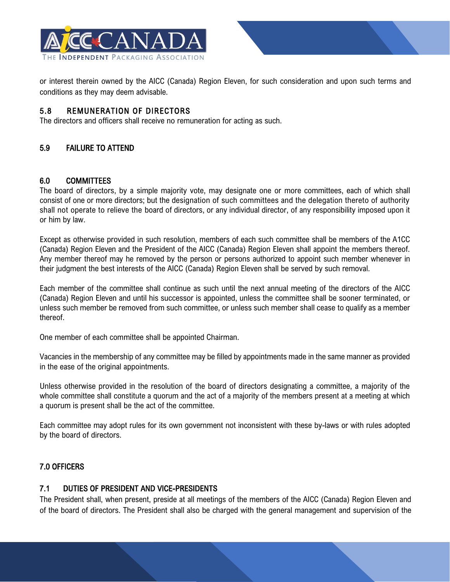

or interest therein owned by the AICC (Canada) Region Eleven, for such consideration and upon such terms and conditions as they may deem advisable.

## 5.8 REMUNERATION OF DIRECTORS

The directors and officers shall receive no remuneration for acting as such.

# 5.9 FAILURE TO ATTEND

### 6.0 COMMITTEES

The board of directors, by a simple majority vote, may designate one or more committees, each of which shall consist of one or more directors; but the designation of such committees and the delegation thereto of authority shall not operate to relieve the board of directors, or any individual director, of any responsibility imposed upon it or him by law.

Except as otherwise provided in such resolution, members of each such committee shall be members of the A1CC (Canada) Region Eleven and the President of the AICC (Canada) Region Eleven shall appoint the members thereof. Any member thereof may he removed by the person or persons authorized to appoint such member whenever in their judgment the best interests of the AICC (Canada) Region Eleven shall be served by such removal.

Each member of the committee shall continue as such until the next annual meeting of the directors of the AICC (Canada) Region Eleven and until his successor is appointed, unless the committee shall be sooner terminated, or unless such member be removed from such committee, or unless such member shall cease to qualify as a member thereof.

One member of each committee shall be appointed Chairman.

Vacancies in the membership of any committee may be filled by appointments made in the same manner as provided in the ease of the original appointments.

Unless otherwise provided in the resolution of the board of directors designating a committee, a majority of the whole committee shall constitute a quorum and the act of a majority of the members present at a meeting at which a quorum is present shall be the act of the committee.

Each committee may adopt rules for its own government not inconsistent with these by-laws or with rules adopted by the board of directors.

## 7.0 OFFICERS

#### 7.1 DUTIES OF PRESIDENT AND VICE-PRESIDENTS

The President shall, when present, preside at all meetings of the members of the AICC (Canada) Region Eleven and of the board of directors. The President shall also be charged with the general management and supervision of the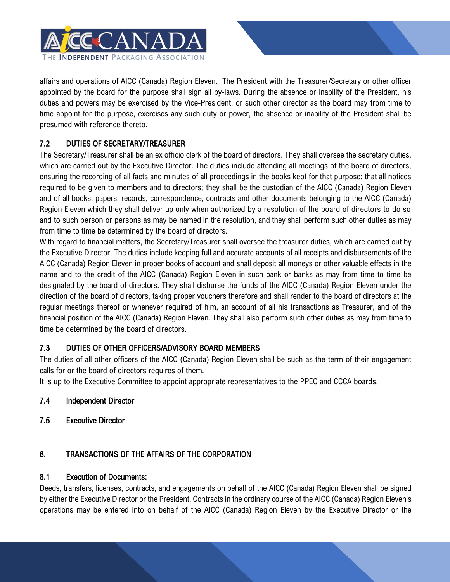

affairs and operations of AICC (Canada) Region Eleven. The President with the Treasurer/Secretary or other officer appointed by the board for the purpose shall sign all by-laws. During the absence or inability of the President, his duties and powers may be exercised by the Vice-President, or such other director as the board may from time to time appoint for the purpose, exercises any such duty or power, the absence or inability of the President shall be presumed with reference thereto.

# 7.2 DUTIES OF SECRETARY/TREASURER

The Secretary/Treasurer shall be an ex officio clerk of the board of directors. They shall oversee the secretary duties, which are carried out by the Executive Director. The duties include attending all meetings of the board of directors, ensuring the recording of all facts and minutes of all proceedings in the books kept for that purpose; that all notices required to be given to members and to directors; they shall be the custodian of the AICC (Canada) Region Eleven and of all books, papers, records, correspondence, contracts and other documents belonging to the AICC (Canada) Region Eleven which they shall deliver up only when authorized by a resolution of the board of directors to do so and to such person or persons as may be named in the resolution, and they shall perform such other duties as may from time to time be determined by the board of directors.

With regard to financial matters, the Secretary/Treasurer shall oversee the treasurer duties, which are carried out by the Executive Director. The duties include keeping full and accurate accounts of all receipts and disbursements of the AICC (Canada) Region Eleven in proper books of account and shall deposit all moneys or other valuable effects in the name and to the credit of the AICC (Canada) Region Eleven in such bank or banks as may from time to time be designated by the board of directors. They shall disburse the funds of the AICC (Canada) Region Eleven under the direction of the board of directors, taking proper vouchers therefore and shall render to the board of directors at the regular meetings thereof or whenever required of him, an account of all his transactions as Treasurer, and of the financial position of the AICC (Canada) Region Eleven. They shall also perform such other duties as may from time to time be determined by the board of directors.

## 7.3 DUTIES OF OTHER OFFICERS/ADVISORY BOARD MEMBERS

The duties of all other officers of the AICC (Canada) Region Eleven shall be such as the term of their engagement calls for or the board of directors requires of them.

It is up to the Executive Committee to appoint appropriate representatives to the PPEC and CCCA boards.

## 7.4 Independent Director

7.5 Executive Director

## 8. TRANSACTIONS OF THE AFFAIRS OF THE CORPORATION

#### 8.1 Execution of Documents:

Deeds, transfers, licenses, contracts, and engagements on behalf of the AICC (Canada) Region Eleven shall be signed by either the Executive Director or the President. Contracts in the ordinary course of the AICC (Canada) Region Eleven's operations may be entered into on behalf of the AICC (Canada) Region Eleven by the Executive Director or the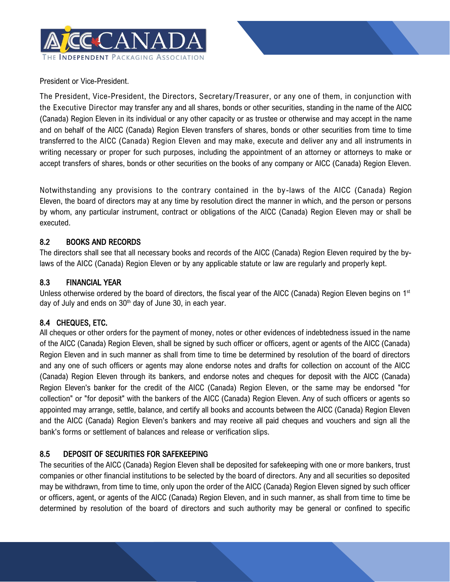

President or Vice-President.

The President, Vice-President, the Directors, Secretary/Treasurer, or any one of them, in conjunction with the Executive Director may transfer any and all shares, bonds or other securities, standing in the name of the AICC (Canada) Region Eleven in its individual or any other capacity or as trustee or otherwise and may accept in the name and on behalf of the AICC (Canada) Region Eleven transfers of shares, bonds or other securities from time to time transferred to the AICC (Canada) Region Eleven and may make, execute and deliver any and all instruments in writing necessary or proper for such purposes, including the appointment of an attorney or attorneys to make or accept transfers of shares, bonds or other securities on the books of any company or AICC (Canada) Region Eleven.

Notwithstanding any provisions to the contrary contained in the by-laws of the AICC (Canada) Region Eleven, the board of directors may at any time by resolution direct the manner in which, and the person or persons by whom, any particular instrument, contract or obligations of the AICC (Canada) Region Eleven may or shall be executed.

### 8.2 BOOKS AND RECORDS

The directors shall see that all necessary books and records of the AICC (Canada) Region Eleven required by the bylaws of the AICC (Canada) Region Eleven or by any applicable statute or law are regularly and properly kept.

#### 8.3 FINANCIAL YEAR

Unless otherwise ordered by the board of directors, the fiscal year of the AICC (Canada) Region Eleven begins on 1<sup>st</sup> day of July and ends on 30<sup>th</sup> day of June 30, in each year.

#### 8.4 CHEQUES, ETC.

All cheques or other orders for the payment of money, notes or other evidences of indebtedness issued in the name of the AICC (Canada) Region Eleven, shall be signed by such officer or officers, agent or agents of the AICC (Canada) Region Eleven and in such manner as shall from time to time be determined by resolution of the board of directors and any one of such officers or agents may alone endorse notes and drafts for collection on account of the AICC (Canada) Region Eleven through its bankers, and endorse notes and cheques for deposit with the AICC (Canada) Region Eleven's banker for the credit of the AICC (Canada) Region Eleven, or the same may be endorsed "for collection" or "for deposit" with the bankers of the AICC (Canada) Region Eleven. Any of such officers or agents so appointed may arrange, settle, balance, and certify all books and accounts between the AICC (Canada) Region Eleven and the AICC (Canada) Region Eleven's bankers and may receive all paid cheques and vouchers and sign all the bank's forms or settlement of balances and release or verification slips.

#### 8.5 DEPOSIT OF SECURITIES FOR SAFEKEEPING

The securities of the AICC (Canada) Region Eleven shall be deposited for safekeeping with one or more bankers, trust companies or other financial institutions to be selected by the board of directors. Any and all securities so deposited may be withdrawn, from time to time, only upon the order of the AICC (Canada) Region Eleven signed by such officer or officers, agent, or agents of the AICC (Canada) Region Eleven, and in such manner, as shall from time to time be determined by resolution of the board of directors and such authority may be general or confined to specific